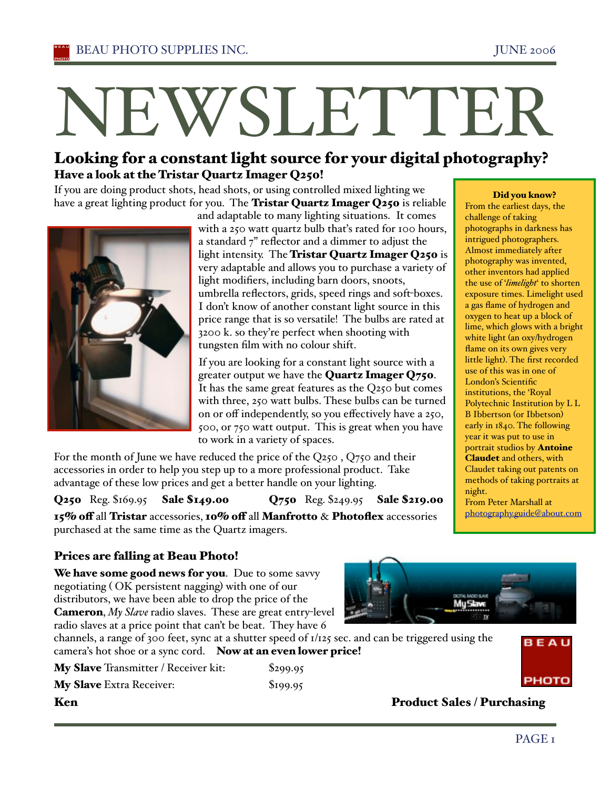# NEWSLETTER

# Looking for a constant light source for your digital photography? Have a look at the Tristar Quartz Imager Q250!

If you are doing product shots, head shots, or using controlled mixed lighting we have a great lighting product for you. The Tristar Quartz Imager Q250 is reliable



and adaptable to many lighting situations. It comes with a 250 watt quartz bulb that's rated for 100 hours, a standard 7" reflector and a dimmer to adjust the light intensity. The Tristar Quartz Imager Q250 is very adaptable and allows you to purchase a variety of light modifiers, including barn doors, snoots, umbrella reflectors, grids, speed rings and soft-boxes. I don't know of another constant light source in this price range that is so versatile! The bulbs are rated at 3200 k. so they're perfect when shooting with tungsten film with no colour shift.

If you are looking for a constant light source with a greater output we have the Quartz Imager Q750. It has the same great features as the Q250 but comes with three, 250 watt bulbs. These bulbs can be turned on or off independently, so you effectively have a 250, 500, or 750 watt output. This is great when you have to work in a variety of spaces.

For the month of June we have reduced the price of the Q250 , Q750 and their accessories in order to help you step up to a more professional product. Take advantage of these low prices and get a better handle on your lighting.

Q250 Reg. \$169.95 Sale \$149.00 Q750 Reg. \$249.95 Sale \$219.00 15% off all Tristar accessories, 10% off all Manfrotto & Photoflex accessories purchased at the same time as the Quartz imagers.

# Prices are falling at Beau Photo!

We have some good news for you. Due to some savvy negotiating ( OK persistent nagging) with one of our distributors, we have been able to drop the price of the Cameron, *My Slave* radio slaves. These are great entry-level radio slaves at a price point that can't be beat. They have 6

channels, a range of 300 feet, sync at a shutter speed of 1/125 sec. and can be triggered using the camera's hot shoe or a sync cord. Now at an even lower price!

My Slave Transmitter / Receiver kit: \$299.95 My Slave Extra Receiver: \$199.95







# Ken Product Sales / Purchasing

Did you know?

From the earliest days, the challenge of taking photographs in darkness has intrigued photographers. Almost immediately after photography was invented, other inventors had applied the use of '*limelight*' to shorten exposure times. Limelight used a gas flame of hydrogen and oxygen to heat up a block of lime, which glows with a bright white light (an oxy/hydrogen flame on its own gives very little light). The first recorded use of this was in one of London's Scientific institutions, the 'Royal Polytechnic Institution by L L B Ibbertson (or Ibbetson) early in 1840. The following year it was put to use in portrait studios by **Antoine** Claudet and others, with Claudet taking out patents on methods of taking portraits at night. From Peter Marshall at photography.guide@about.com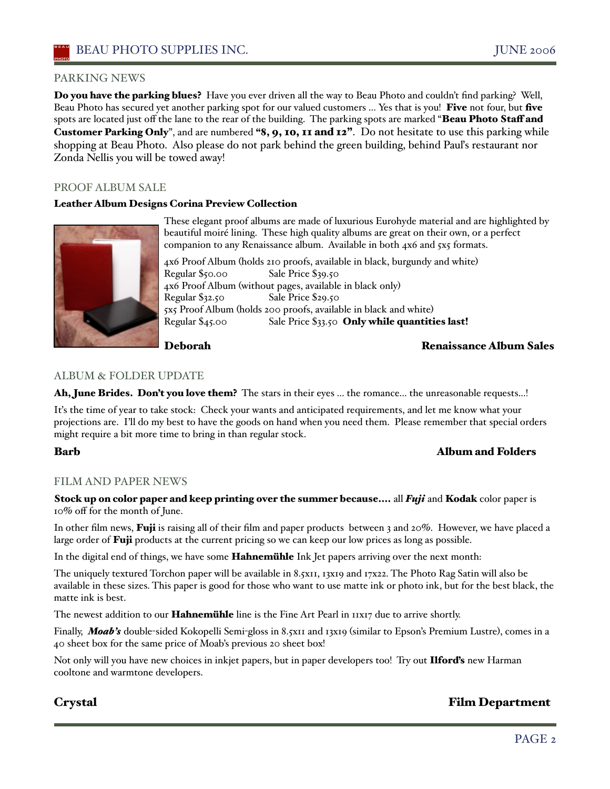### PARKING NEWS

Do you have the parking blues? Have you ever driven all the way to Beau Photo and couldn't find parking? Well, Beau Photo has secured yet another parking spot for our valued customers ... Yes that is you! Five not four, but five spots are located just off the lane to the rear of the building. The parking spots are marked "Beau Photo Staff and Customer Parking Only", and are numbered "8, 9, 10, 11 and 12". Do not hesitate to use this parking while shopping at Beau Photo. Also please do not park behind the green building, behind Pauľs restaurant nor Zonda Nellis you will be towed away!

# PROOF ALBUM SALE

### Leather Album Designs Corina Preview Collection



These elegant proof albums are made of luxurious Eurohyde material and are highlighted by beautiful moiré lining. These high quality albums are great on their own, or a perfect companion to any Renaissance album. Available in both 4x6 and 5x5 formats.

4x6 Proof Album (holds 210 proofs, available in black, burgundy and white) Regular \$50.00 Sale Price \$39.50 4x6 Proof Album (without pages, available in black only) Regular \$32.50 Sale Price \$29.50 5x5 Proof Album (holds 200 proofs, available in black and white) Regular \$45.00 Sale Price \$33.50 Only while quantities last!

### Deborah Renaissance Album Sales

### ALBUM & FOLDER UPDATE

Ah, June Brides. Don't you love them? The stars in their eyes ... the romance... the unreasonable requests...!

Iťs the time of year to take stock: Check your wants and anticipated requirements, and let me know what your projections are. I'll do my best to have the goods on hand when you need them. Please remember that special orders might require a bit more time to bring in than regular stock.

### Barb Album and Folders

### FILM AND PAPER NEWS

Stock up on color paper and keep printing over the summer because.... all *Fuji* and Kodak color paper is 10% off for the month of June.

In other film news, **Fuji** is raising all of their film and paper products between 3 and 20%. However, we have placed a large order of Fuji products at the current pricing so we can keep our low prices as long as possible.

In the digital end of things, we have some **Hahnemühle** Ink Jet papers arriving over the next month:

The uniquely textured Torchon paper will be available in 8.5x11, 13x19 and 17x22. The Photo Rag Satin will also be available in these sizes. This paper is good for those who want to use matte ink or photo ink, but for the best black, the matte ink is best.

The newest addition to our **Hahnemühle** line is the Fine Art Pearl in 11x17 due to arrive shortly.

Finally, **Moab's** double-sided Kokopelli Semi-gloss in 8.5x11 and 13x19 (similar to Epson's Premium Lustre), comes in a 40 sheet box for the same price of Moab's previous 20 sheet box!

Not only will you have new choices in inkjet papers, but in paper developers too! Try out Ilford's new Harman cooltone and warmtone developers.

# Crystal Film Department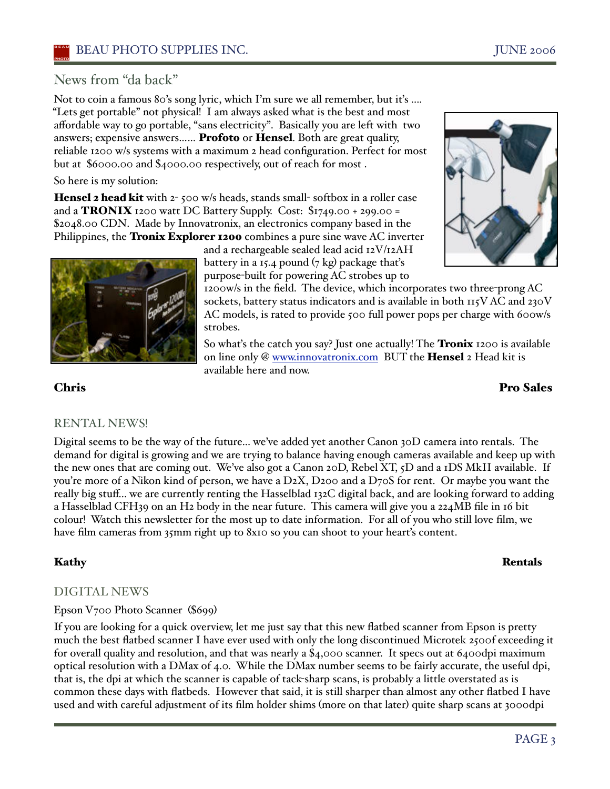# News from "da back"

Not to coin a famous 80's song lyric, which I'm sure we all remember, but iťs .... "Lets get portable" not physical! I am always asked what is the best and most affordable way to go portable, "sans electricity". Basically you are left with two answers; expensive answers…… Profoto or Hensel. Both are great quality, reliable 1200 w/s systems with a maximum 2 head configuration. Perfect for most but at \$6000.00 and \$4000.00 respectively, out of reach for most .

# So here is my solution:

Hensel 2 head kit with 2-500 w/s heads, stands small-softbox in a roller case and a **TRONIX** 1200 watt DC Battery Supply. Cost:  $$1749.00 + 299.00 =$ \$2048.00 CDN. Made by Innovatronix, an electronics company based in the Philippines, the **Tronix Explorer 1200** combines a pure sine wave AC inverter



and a rechargeable sealed lead acid 12V/12AH battery in a 15.4 pound  $(7 \text{ kg})$  package that's purpose-built for powering AC strobes up to

1200w/s in the field. The device, which incorporates two three-prong AC sockets, battery status indicators and is available in both 115VAC and 230V AC models, is rated to provide 500 full power pops per charge with 600w/s strobes.

So what's the catch you say? Just one actually! The **Tronix** 1200 is available on line only @ www.innovatronix.com BUT the **Hensel** 2 Head kit is available here and now.

# Chris Pro Sales

# RENTAL NEWS!

Digital seems to be the way of the future... we've added yet another Canon 30D camera into rentals. The demand for digital is growing and we are trying to balance having enough cameras available and keep up with the new ones that are coming out. We've also got a Canon 20D, Rebel XT, 5D and a 1DS MkII available. If you're more of a Nikon kind of person, we have a D2X, D200 and a D70S for rent. Or maybe you want the really big stuff... we are currently renting the Hasselblad 132C digital back, and are looking forward to adding a Hasselblad CFH39 on an H2 body in the near future. This camera will give you a 224MB file in 16 bit colour! Watch this newsletter for the most up to date information. For all of you who still love film, we have film cameras from 35mm right up to 8x10 so you can shoot to your heart's content.

# Kathy Rentals

# DIGITAL NEWS

# Epson V700 Photo Scanner (\$699)

If you are looking for a quick overview, let me just say that this new flatbed scanner from Epson is pretty much the best flatbed scanner I have ever used with only the long discontinued Microtek 2500f exceeding it for overall quality and resolution, and that was nearly a \$4,000 scanner. It specs out at 6400dpi maximum optical resolution with a DMax of 4.0. While the DMax number seems to be fairly accurate, the useful dpi, that is, the dpi at which the scanner is capable of tack-sharp scans, is probably a little overstated as is common these days with flatbeds. However that said, it is still sharper than almost any other flatbed I have used and with careful adjustment of its film holder shims (more on that later) quite sharp scans at 3000dpi